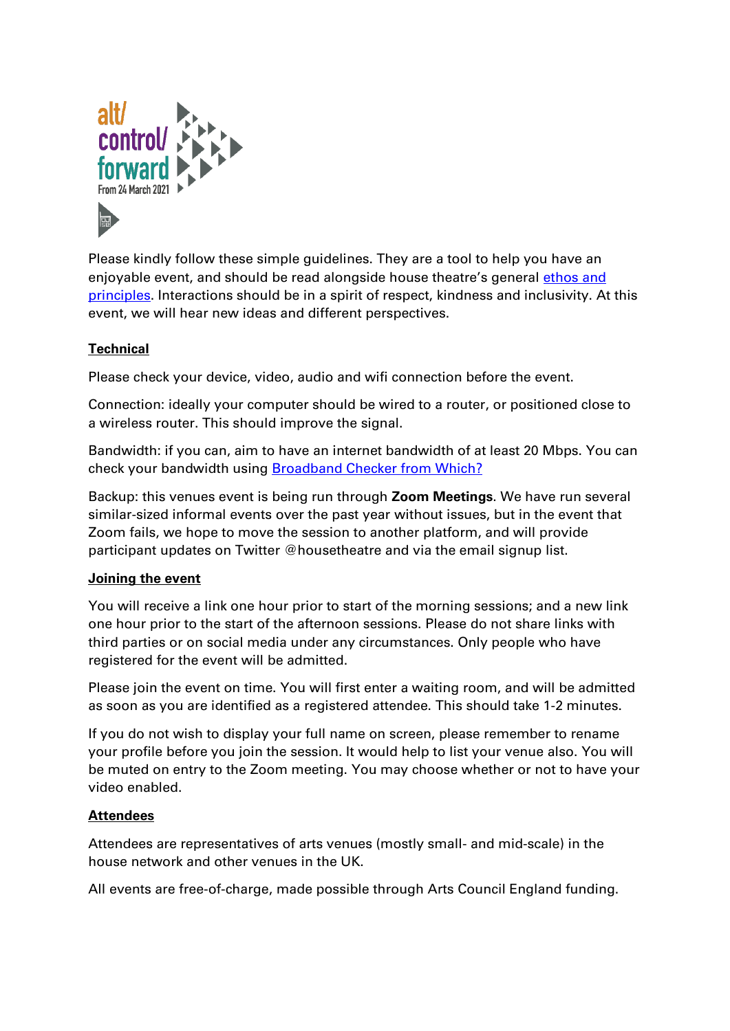

Please kindly follow these simple guidelines. They are a tool to help you have an enjoyable event, and should be read alongside house theatre's general [ethos and](https://housetheatre.org.uk/about/)  [principles.](https://housetheatre.org.uk/about/) Interactions should be in a spirit of respect, kindness and inclusivity. At this event, we will hear new ideas and different perspectives.

# **Technical**

Please check your device, video, audio and wifi connection before the event.

Connection: ideally your computer should be wired to a router, or positioned close to a wireless router. This should improve the signal.

Bandwidth: if you can, aim to have an internet bandwidth of at least 20 Mbps. You can check your bandwidth using **Broadband Checker from Which?** 

Backup: this venues event is being run through **Zoom Meetings**. We have run several similar-sized informal events over the past year without issues, but in the event that Zoom fails, we hope to move the session to another platform, and will provide participant updates on Twitter @housetheatre and via the email signup list.

# **Joining the event**

You will receive a link one hour prior to start of the morning sessions; and a new link one hour prior to the start of the afternoon sessions. Please do not share links with third parties or on social media under any circumstances. Only people who have registered for the event will be admitted.

Please join the event on time. You will first enter a waiting room, and will be admitted as soon as you are identified as a registered attendee. This should take 1-2 minutes.

If you do not wish to display your full name on screen, please remember to rename your profile before you join the session. It would help to list your venue also. You will be muted on entry to the Zoom meeting. You may choose whether or not to have your video enabled.

# **Attendees**

Attendees are representatives of arts venues (mostly small- and mid-scale) in the house network and other venues in the UK.

All events are free-of-charge, made possible through Arts Council England funding.